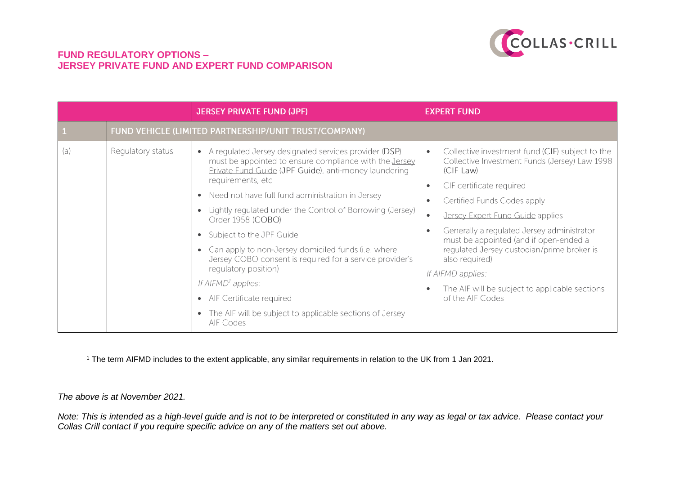

|     |                   | <b>JERSEY PRIVATE FUND (JPF)</b>                                                                                                                                                                                                                                                                                                                                                                                                                                                                                                                                                                                                                                                                                | <b>EXPERT FUND</b>                                                                                                                                                                                                                                                                                                                                                                                                                                                                                                                            |
|-----|-------------------|-----------------------------------------------------------------------------------------------------------------------------------------------------------------------------------------------------------------------------------------------------------------------------------------------------------------------------------------------------------------------------------------------------------------------------------------------------------------------------------------------------------------------------------------------------------------------------------------------------------------------------------------------------------------------------------------------------------------|-----------------------------------------------------------------------------------------------------------------------------------------------------------------------------------------------------------------------------------------------------------------------------------------------------------------------------------------------------------------------------------------------------------------------------------------------------------------------------------------------------------------------------------------------|
|     |                   | FUND VEHICLE (LIMITED PARTNERSHIP/UNIT TRUST/COMPANY)                                                                                                                                                                                                                                                                                                                                                                                                                                                                                                                                                                                                                                                           |                                                                                                                                                                                                                                                                                                                                                                                                                                                                                                                                               |
| (a) | Regulatory status | A regulated Jersey designated services provider (DSP)<br>$\bullet$<br>must be appointed to ensure compliance with the <b>Jersey</b><br>Private Fund Guide (JPF Guide), anti-money laundering<br>requirements, etc<br>Need not have full fund administration in Jersey<br>$\bullet$<br>Lightly regulated under the Control of Borrowing (Jersey)<br>Order 1958 (COBO)<br>Subject to the JPF Guide<br>$\bullet$<br>Can apply to non-Jersey domiciled funds (i.e. where<br>Jersey COBO consent is required for a service provider's<br>regulatory position)<br>If $AIFMD1$ applies:<br>AIF Certificate required<br>$\bullet$<br>The AIF will be subject to applicable sections of Jersey<br>$\bullet$<br>AIF Codes | Collective investment fund (CIF) subject to the<br>$\bullet$<br>Collective Investment Funds (Jersey) Law 1998<br>(CIF Law)<br>CIF certificate required<br>$\bullet$<br>Certified Funds Codes apply<br>$\bullet$<br>Jersey Expert Fund Guide applies<br>$\bullet$<br>Generally a regulated Jersey administrator<br>$\bullet$<br>must be appointed (and if open-ended a<br>regulated Jersey custodian/prime broker is<br>also required)<br>If AIFMD applies:<br>The AIF will be subject to applicable sections<br>$\bullet$<br>of the AIF Codes |

<sup>1</sup> The term AIFMD includes to the extent applicable, any similar requirements in relation to the UK from 1 Jan 2021.

*The above is at November 2021.*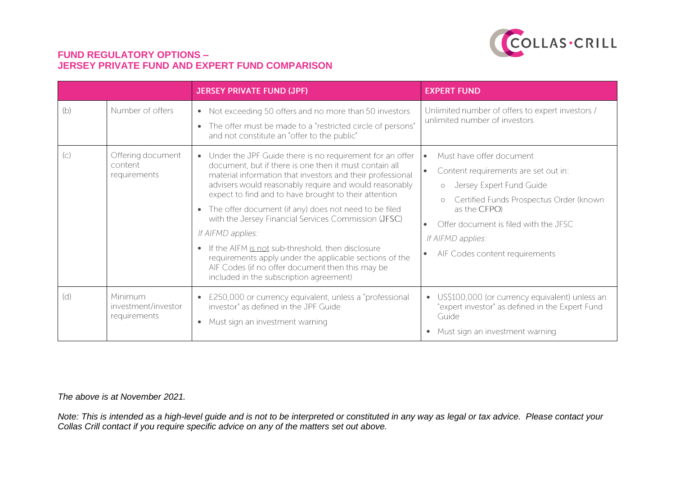

|     |                                                | <b>JERSEY PRIVATE FUND (JPF)</b>                                                                                                                                                                                                                                                                                                                                                                                                                                                                                                                                                                                                                                                                | <b>EXPERT FUND</b>                                                                                                                                                                                                                                                                         |
|-----|------------------------------------------------|-------------------------------------------------------------------------------------------------------------------------------------------------------------------------------------------------------------------------------------------------------------------------------------------------------------------------------------------------------------------------------------------------------------------------------------------------------------------------------------------------------------------------------------------------------------------------------------------------------------------------------------------------------------------------------------------------|--------------------------------------------------------------------------------------------------------------------------------------------------------------------------------------------------------------------------------------------------------------------------------------------|
| (b) | Number of offers                               | • Not exceeding 50 offers and no more than 50 investors<br>The offer must be made to a "restricted circle of persons"<br>$\bullet$<br>and not constitute an "offer to the public"                                                                                                                                                                                                                                                                                                                                                                                                                                                                                                               | Unlimited number of offers to expert investors /<br>unlimited number of investors                                                                                                                                                                                                          |
| (C) | Offering document<br>content<br>requirements   | Under the JPF Guide there is no requirement for an offer<br>$\bullet$<br>document, but if there is one then it must contain all<br>material information that investors and their professional<br>advisers would reasonably require and would reasonably<br>expect to find and to have brought to their attention<br>The offer document (if any) does not need to be filed<br>$\bullet$<br>with the Jersey Financial Services Commission (JFSC)<br>If AIFMD applies:<br>If the AIFM is not sub-threshold, then disclosure<br>$\bullet$<br>requirements apply under the applicable sections of the<br>AIF Codes (if no offer document then this may be<br>included in the subscription agreement) | Must have offer document<br>$\bullet$<br>Content requirements are set out in:<br>Jersey Expert Fund Guide<br>$\circ$<br>Certified Funds Prospectus Order (known<br>$\circ$<br>as the CFPO)<br>Offer document is filed with the JFSC<br>If AIFMD applies:<br>AIF Codes content requirements |
| (d) | Minimum<br>investment/investor<br>requirements | £250,000 or currency equivalent, unless a "professional"<br>$\bullet$<br>investor" as defined in the JPF Guide<br>Must sign an investment warning<br>$\bullet$                                                                                                                                                                                                                                                                                                                                                                                                                                                                                                                                  | US\$100,000 (or currency equivalent) unless an<br>$\bullet$<br>"expert investor" as defined in the Expert Fund<br>Guide<br>Must sign an investment warning<br>$\bullet$                                                                                                                    |

*The above is at November 2021.*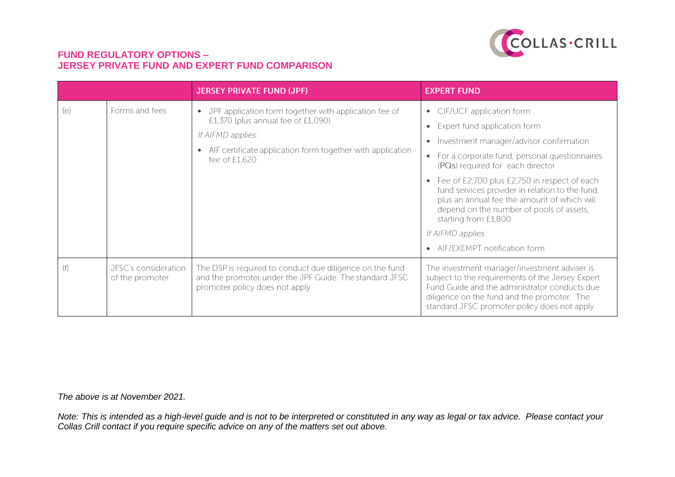

|     |                                         | <b>JERSEY PRIVATE FUND (JPF)</b>                                                                                                                                                                                          | <b>EXPERT FUND</b>                                                                                                                                                                                                                                                                                                                                                                                                                                                                                                                                |
|-----|-----------------------------------------|---------------------------------------------------------------------------------------------------------------------------------------------------------------------------------------------------------------------------|---------------------------------------------------------------------------------------------------------------------------------------------------------------------------------------------------------------------------------------------------------------------------------------------------------------------------------------------------------------------------------------------------------------------------------------------------------------------------------------------------------------------------------------------------|
| (e) | Forms and fees                          | JPF application form together with application fee of<br>$\bullet$<br>£1,370 (plus annual fee of £1,090)<br>If AIFMD applies:<br>AIF certificate application form together with application<br>$\bullet$<br>fee of £1,620 | CIF/UCF application form<br>$\bullet$<br>Expert fund application form<br>$\bullet$<br>Investment manager/advisor confirmation<br>$\bullet$<br>For a corporate fund, personal questionnaires<br>$\bullet$<br>(PQs) required for each director<br>Fee of £2,700 plus £2,750 in respect of each<br>$\bullet$<br>fund services provider in relation to the fund,<br>plus an annual fee the amount of which will<br>depend on the number of pools of assets,<br>starting from £1,800<br>If AIFMD applies:<br>AIF/EXEMPT notification form<br>$\bullet$ |
| (f) | JFSC's consideration<br>of the promoter | The DSP is required to conduct due diligence on the fund<br>and the promoter under the JPF Guide. The standard JFSC<br>promoter policy does not apply                                                                     | The investment manager/investment adviser is<br>subject to the requirements of the Jersey Expert<br>Fund Guide and the administrator conducts due<br>diligence on the fund and the promoter. The<br>standard JFSC promoter policy does not apply                                                                                                                                                                                                                                                                                                  |

*The above is at November 2021.*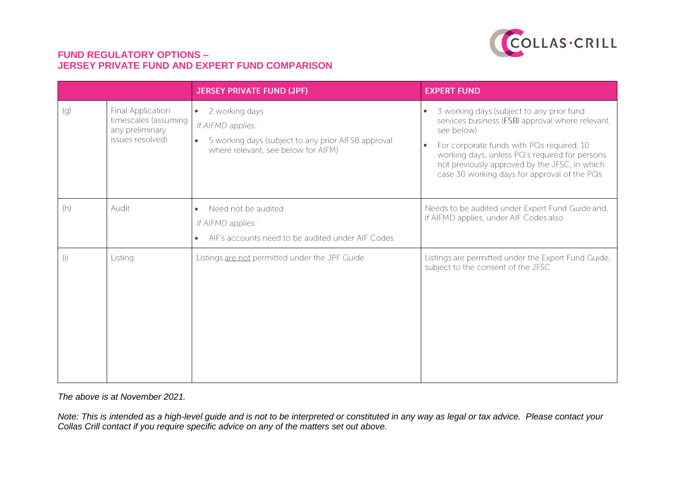

|     |                                                                                         | <b>JERSEY PRIVATE FUND (JPF)</b>                                                                                                                            | <b>EXPERT FUND</b>                                                                                                                                                                                                                                                                                          |
|-----|-----------------------------------------------------------------------------------------|-------------------------------------------------------------------------------------------------------------------------------------------------------------|-------------------------------------------------------------------------------------------------------------------------------------------------------------------------------------------------------------------------------------------------------------------------------------------------------------|
| (g) | <b>Final Application</b><br>timescales (assuming<br>any preliminary<br>issues resolved) | 2 working days<br>$\bullet$<br>If AIFMD applies:<br>5 working days (subject to any prior AIFSB approval<br>$\bullet$<br>where relevant, see below for AIFM) | 3 working days (subject to any prior fund<br>services business (FSB) approval where relevant,<br>see below)<br>For corporate funds with PQs required, 10<br>working days, unless PQ's required for persons<br>not previously approved by the JFSC, in which<br>case 30 working days for approval of the PQs |
| (h) | Audit                                                                                   | Need not be audited<br>$\bullet$<br>If AIFMD applies:<br>AIF's accounts need to be audited under AIF Codes<br>$\bullet$                                     | Needs to be audited under Expert Fund Guide and,<br>if AIFMD applies, under AIF Codes also                                                                                                                                                                                                                  |
| (i) | Listing                                                                                 | Listings are not permitted under the JPF Guide                                                                                                              | Listings are permitted under the Expert Fund Guide,<br>subject to the consent of the JFSC                                                                                                                                                                                                                   |

*The above is at November 2021.*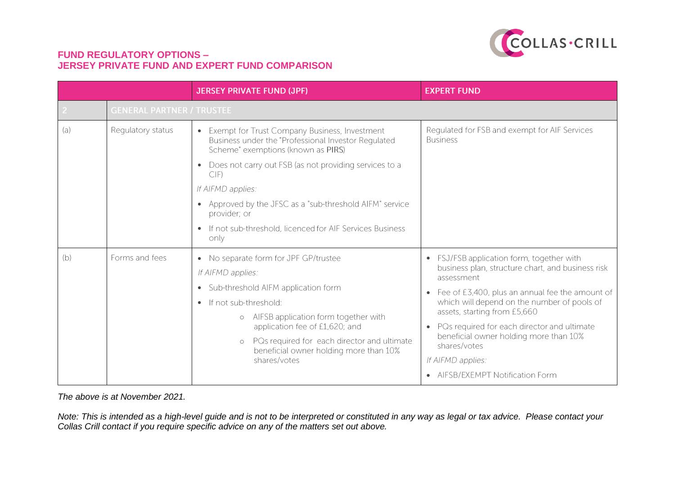

|     |                                  | <b>JERSEY PRIVATE FUND (JPF)</b>                                                                                                                                                                                                                                                                                                                                                             | <b>EXPERT FUND</b>                                                                                                                                                                                                                                                                                                                                                                                                                                                      |
|-----|----------------------------------|----------------------------------------------------------------------------------------------------------------------------------------------------------------------------------------------------------------------------------------------------------------------------------------------------------------------------------------------------------------------------------------------|-------------------------------------------------------------------------------------------------------------------------------------------------------------------------------------------------------------------------------------------------------------------------------------------------------------------------------------------------------------------------------------------------------------------------------------------------------------------------|
|     | <b>GENERAL PARTNER / TRUSTEE</b> |                                                                                                                                                                                                                                                                                                                                                                                              |                                                                                                                                                                                                                                                                                                                                                                                                                                                                         |
| (a) | Regulatory status                | Exempt for Trust Company Business, Investment<br>$\bullet$<br>Business under the "Professional Investor Regulated<br>Scheme" exemptions (known as PIRS)<br>Does not carry out FSB (as not providing services to a<br>CIF)<br>If AIFMD applies:<br>Approved by the JFSC as a "sub-threshold AIFM" service<br>provider; or<br>If not sub-threshold, licenced for AIF Services Business<br>only | Regulated for FSB and exempt for AIF Services<br><b>Business</b>                                                                                                                                                                                                                                                                                                                                                                                                        |
| (b) | Forms and fees                   | • No separate form for JPF GP/trustee<br>If AIFMD applies:<br>Sub-threshold AIFM application form<br>$\bullet$<br>If not sub-threshold:<br>AIFSB application form together with<br>application fee of £1,620; and<br>PQs required for each director and ultimate<br>$\circ$<br>beneficial owner holding more than 10%<br>shares/votes                                                        | FSJ/FSB application form, together with<br>$\bullet$<br>business plan, structure chart, and business risk<br>assessment<br>Fee of £3,400, plus an annual fee the amount of<br>$\bullet$<br>which will depend on the number of pools of<br>assets, starting from £5,660<br>PQs required for each director and ultimate<br>$\bullet$<br>beneficial owner holding more than 10%<br>shares/votes<br>If AIFMD applies:<br><b>AIFSB/EXEMPT Notification Form</b><br>$\bullet$ |

*The above is at November 2021.*